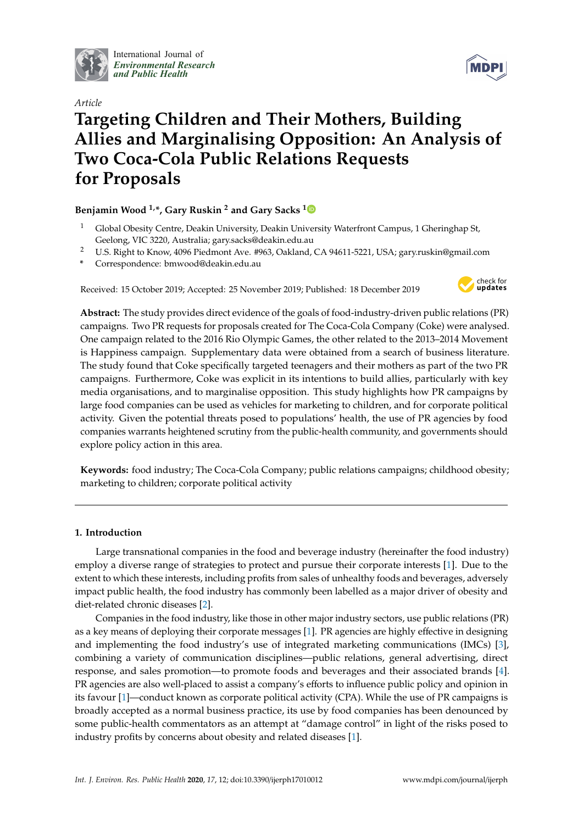

International Journal of *[Environmental Research](http://www.mdpi.com/journal/ijerph) and Public Health*



# *Article* **Targeting Children and Their Mothers, Building Allies and Marginalising Opposition: An Analysis of Two Coca-Cola Public Relations Requests for Proposals**

# **Benjamin Wood 1,\*, Gary Ruskin <sup>2</sup> and Gary Sacks [1](https://orcid.org/0000-0001-9736-1539)**

- <sup>1</sup> Global Obesity Centre, Deakin University, Deakin University Waterfront Campus, 1 Gheringhap St, Geelong, VIC 3220, Australia; gary.sacks@deakin.edu.au
- <sup>2</sup> U.S. Right to Know, 4096 Piedmont Ave. #963, Oakland, CA 94611-5221, USA; gary.ruskin@gmail.com
- **\*** Correspondence: bmwood@deakin.edu.au

Received: 15 October 2019; Accepted: 25 November 2019; Published: 18 December 2019



**Abstract:** The study provides direct evidence of the goals of food-industry-driven public relations (PR) campaigns. Two PR requests for proposals created for The Coca-Cola Company (Coke) were analysed. One campaign related to the 2016 Rio Olympic Games, the other related to the 2013–2014 Movement is Happiness campaign. Supplementary data were obtained from a search of business literature. The study found that Coke specifically targeted teenagers and their mothers as part of the two PR campaigns. Furthermore, Coke was explicit in its intentions to build allies, particularly with key media organisations, and to marginalise opposition. This study highlights how PR campaigns by large food companies can be used as vehicles for marketing to children, and for corporate political activity. Given the potential threats posed to populations' health, the use of PR agencies by food companies warrants heightened scrutiny from the public-health community, and governments should explore policy action in this area.

**Keywords:** food industry; The Coca-Cola Company; public relations campaigns; childhood obesity; marketing to children; corporate political activity

# **1. Introduction**

Large transnational companies in the food and beverage industry (hereinafter the food industry) employ a diverse range of strategies to protect and pursue their corporate interests [\[1\]](#page-3-0). Due to the extent to which these interests, including profits from sales of unhealthy foods and beverages, adversely impact public health, the food industry has commonly been labelled as a major driver of obesity and diet-related chronic diseases [\[2\]](#page-3-1).

Companies in the food industry, like those in other major industry sectors, use public relations (PR) as a key means of deploying their corporate messages [\[1\]](#page-3-0). PR agencies are highly effective in designing and implementing the food industry's use of integrated marketing communications (IMCs) [\[3\]](#page-3-2), combining a variety of communication disciplines—public relations, general advertising, direct response, and sales promotion—to promote foods and beverages and their associated brands [\[4\]](#page-3-3). PR agencies are also well-placed to assist a company's efforts to influence public policy and opinion in its favour [\[1\]](#page-3-0)—conduct known as corporate political activity (CPA). While the use of PR campaigns is broadly accepted as a normal business practice, its use by food companies has been denounced by some public-health commentators as an attempt at "damage control" in light of the risks posed to industry profits by concerns about obesity and related diseases [\[1\]](#page-3-0).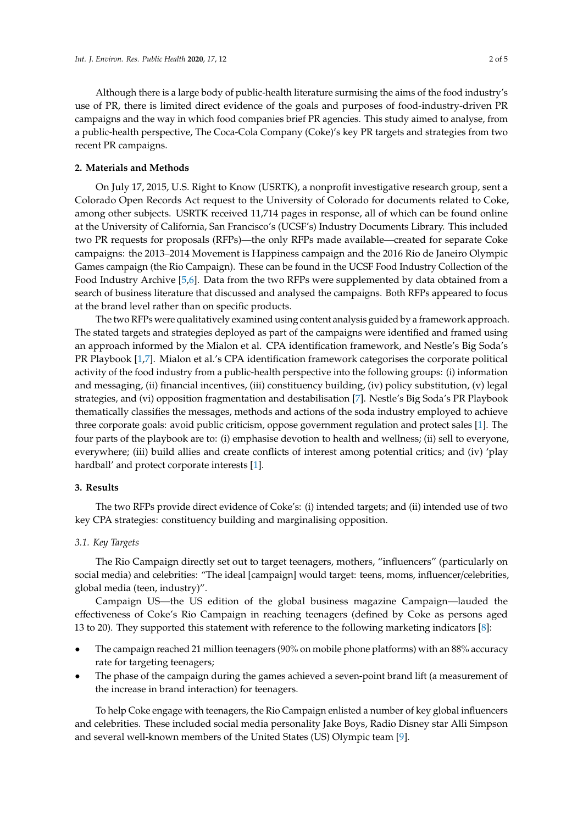Although there is a large body of public-health literature surmising the aims of the food industry's use of PR, there is limited direct evidence of the goals and purposes of food-industry-driven PR campaigns and the way in which food companies brief PR agencies. This study aimed to analyse, from a public-health perspective, The Coca-Cola Company (Coke)'s key PR targets and strategies from two recent PR campaigns.

## **2. Materials and Methods**

On July 17, 2015, U.S. Right to Know (USRTK), a nonprofit investigative research group, sent a Colorado Open Records Act request to the University of Colorado for documents related to Coke, among other subjects. USRTK received 11,714 pages in response, all of which can be found online at the University of California, San Francisco's (UCSF's) Industry Documents Library. This included two PR requests for proposals (RFPs)—the only RFPs made available—created for separate Coke campaigns: the 2013–2014 Movement is Happiness campaign and the 2016 Rio de Janeiro Olympic Games campaign (the Rio Campaign). These can be found in the UCSF Food Industry Collection of the Food Industry Archive [\[5,](#page-3-4)[6\]](#page-3-5). Data from the two RFPs were supplemented by data obtained from a search of business literature that discussed and analysed the campaigns. Both RFPs appeared to focus at the brand level rather than on specific products.

The two RFPs were qualitatively examined using content analysis guided by a framework approach. The stated targets and strategies deployed as part of the campaigns were identified and framed using an approach informed by the Mialon et al. CPA identification framework, and Nestle's Big Soda's PR Playbook [\[1](#page-3-0)[,7\]](#page-4-0). Mialon et al.'s CPA identification framework categorises the corporate political activity of the food industry from a public-health perspective into the following groups: (i) information and messaging, (ii) financial incentives, (iii) constituency building, (iv) policy substitution, (v) legal strategies, and (vi) opposition fragmentation and destabilisation [\[7\]](#page-4-0). Nestle's Big Soda's PR Playbook thematically classifies the messages, methods and actions of the soda industry employed to achieve three corporate goals: avoid public criticism, oppose government regulation and protect sales [\[1\]](#page-3-0). The four parts of the playbook are to: (i) emphasise devotion to health and wellness; (ii) sell to everyone, everywhere; (iii) build allies and create conflicts of interest among potential critics; and (iv) 'play hardball' and protect corporate interests [\[1\]](#page-3-0).

# **3. Results**

The two RFPs provide direct evidence of Coke's: (i) intended targets; and (ii) intended use of two key CPA strategies: constituency building and marginalising opposition.

#### *3.1. Key Targets*

The Rio Campaign directly set out to target teenagers, mothers, "influencers" (particularly on social media) and celebrities: "The ideal [campaign] would target: teens, moms, influencer/celebrities, global media (teen, industry)".

Campaign US—the US edition of the global business magazine Campaign—lauded the effectiveness of Coke's Rio Campaign in reaching teenagers (defined by Coke as persons aged 13 to 20). They supported this statement with reference to the following marketing indicators [\[8\]](#page-4-1):

- The campaign reached 21 million teenagers (90% on mobile phone platforms) with an 88% accuracy rate for targeting teenagers;
- The phase of the campaign during the games achieved a seven-point brand lift (a measurement of the increase in brand interaction) for teenagers.

To help Coke engage with teenagers, the Rio Campaign enlisted a number of key global influencers and celebrities. These included social media personality Jake Boys, Radio Disney star Alli Simpson and several well-known members of the United States (US) Olympic team [\[9\]](#page-4-2).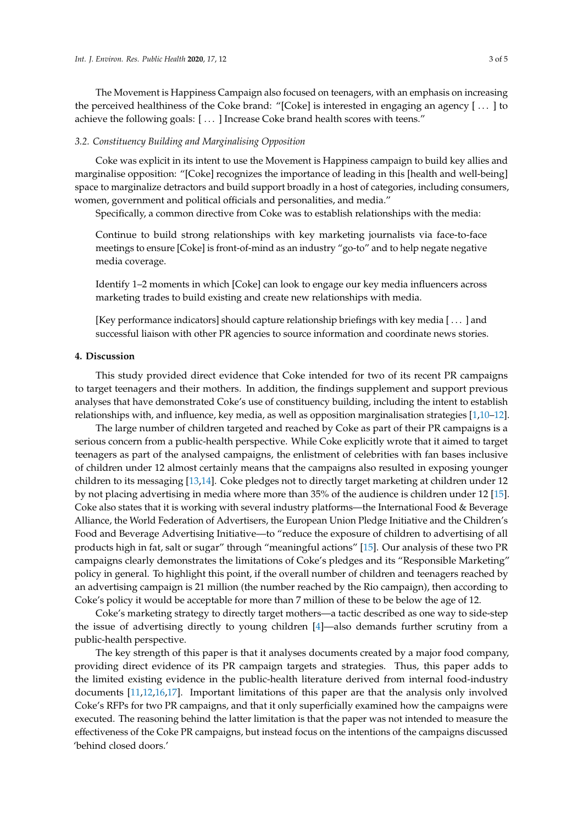The Movement is Happiness Campaign also focused on teenagers, with an emphasis on increasing the perceived healthiness of the Coke brand: "[Coke] is interested in engaging an agency [ . . . ] to achieve the following goals: [ . . . ] Increase Coke brand health scores with teens."

## *3.2. Constituency Building and Marginalising Opposition*

Coke was explicit in its intent to use the Movement is Happiness campaign to build key allies and marginalise opposition: "[Coke] recognizes the importance of leading in this [health and well-being] space to marginalize detractors and build support broadly in a host of categories, including consumers, women, government and political officials and personalities, and media."

Specifically, a common directive from Coke was to establish relationships with the media:

Continue to build strong relationships with key marketing journalists via face-to-face meetings to ensure [Coke] is front-of-mind as an industry "go-to" and to help negate negative media coverage.

Identify 1–2 moments in which [Coke] can look to engage our key media influencers across marketing trades to build existing and create new relationships with media.

[Key performance indicators] should capture relationship briefings with key media [ . . . ] and successful liaison with other PR agencies to source information and coordinate news stories.

#### **4. Discussion**

This study provided direct evidence that Coke intended for two of its recent PR campaigns to target teenagers and their mothers. In addition, the findings supplement and support previous analyses that have demonstrated Coke's use of constituency building, including the intent to establish relationships with, and influence, key media, as well as opposition marginalisation strategies [\[1,](#page-3-0)[10–](#page-4-3)[12\]](#page-4-4).

The large number of children targeted and reached by Coke as part of their PR campaigns is a serious concern from a public-health perspective. While Coke explicitly wrote that it aimed to target teenagers as part of the analysed campaigns, the enlistment of celebrities with fan bases inclusive of children under 12 almost certainly means that the campaigns also resulted in exposing younger children to its messaging [\[13,](#page-4-5)[14\]](#page-4-6). Coke pledges not to directly target marketing at children under 12 by not placing advertising in media where more than 35% of the audience is children under 12 [\[15\]](#page-4-7). Coke also states that it is working with several industry platforms—the International Food & Beverage Alliance, the World Federation of Advertisers, the European Union Pledge Initiative and the Children's Food and Beverage Advertising Initiative—to "reduce the exposure of children to advertising of all products high in fat, salt or sugar" through "meaningful actions" [\[15\]](#page-4-7). Our analysis of these two PR campaigns clearly demonstrates the limitations of Coke's pledges and its "Responsible Marketing" policy in general. To highlight this point, if the overall number of children and teenagers reached by an advertising campaign is 21 million (the number reached by the Rio campaign), then according to Coke's policy it would be acceptable for more than 7 million of these to be below the age of 12.

Coke's marketing strategy to directly target mothers—a tactic described as one way to side-step the issue of advertising directly to young children [\[4\]](#page-3-3)—also demands further scrutiny from a public-health perspective.

The key strength of this paper is that it analyses documents created by a major food company, providing direct evidence of its PR campaign targets and strategies. Thus, this paper adds to the limited existing evidence in the public-health literature derived from internal food-industry documents [\[11](#page-4-8)[,12](#page-4-4)[,16](#page-4-9)[,17\]](#page-4-10). Important limitations of this paper are that the analysis only involved Coke's RFPs for two PR campaigns, and that it only superficially examined how the campaigns were executed. The reasoning behind the latter limitation is that the paper was not intended to measure the effectiveness of the Coke PR campaigns, but instead focus on the intentions of the campaigns discussed 'behind closed doors.'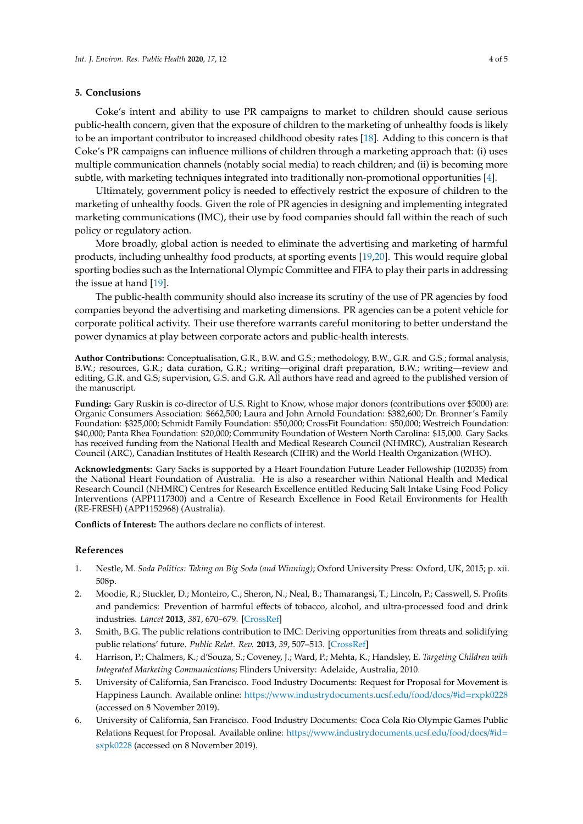## **5. Conclusions**

Coke's intent and ability to use PR campaigns to market to children should cause serious public-health concern, given that the exposure of children to the marketing of unhealthy foods is likely to be an important contributor to increased childhood obesity rates [\[18\]](#page-4-11). Adding to this concern is that Coke's PR campaigns can influence millions of children through a marketing approach that: (i) uses multiple communication channels (notably social media) to reach children; and (ii) is becoming more subtle, with marketing techniques integrated into traditionally non-promotional opportunities [\[4\]](#page-3-3).

Ultimately, government policy is needed to effectively restrict the exposure of children to the marketing of unhealthy foods. Given the role of PR agencies in designing and implementing integrated marketing communications (IMC), their use by food companies should fall within the reach of such policy or regulatory action.

More broadly, global action is needed to eliminate the advertising and marketing of harmful products, including unhealthy food products, at sporting events [\[19,](#page-4-12)[20\]](#page-4-13). This would require global sporting bodies such as the International Olympic Committee and FIFA to play their parts in addressing the issue at hand [\[19\]](#page-4-12).

The public-health community should also increase its scrutiny of the use of PR agencies by food companies beyond the advertising and marketing dimensions. PR agencies can be a potent vehicle for corporate political activity. Their use therefore warrants careful monitoring to better understand the power dynamics at play between corporate actors and public-health interests.

**Author Contributions:** Conceptualisation, G.R., B.W. and G.S.; methodology, B.W., G.R. and G.S.; formal analysis, B.W.; resources, G.R.; data curation, G.R.; writing—original draft preparation, B.W.; writing—review and editing, G.R. and G.S; supervision, G.S. and G.R. All authors have read and agreed to the published version of the manuscript.

**Funding:** Gary Ruskin is co-director of U.S. Right to Know, whose major donors (contributions over \$5000) are: Organic Consumers Association: \$662,500; Laura and John Arnold Foundation: \$382,600; Dr. Bronner's Family Foundation: \$325,000; Schmidt Family Foundation: \$50,000; CrossFit Foundation: \$50,000; Westreich Foundation: \$40,000; Panta Rhea Foundation: \$20,000; Community Foundation of Western North Carolina: \$15,000. Gary Sacks has received funding from the National Health and Medical Research Council (NHMRC), Australian Research Council (ARC), Canadian Institutes of Health Research (CIHR) and the World Health Organization (WHO).

**Acknowledgments:** Gary Sacks is supported by a Heart Foundation Future Leader Fellowship (102035) from the National Heart Foundation of Australia. He is also a researcher within National Health and Medical Research Council (NHMRC) Centres for Research Excellence entitled Reducing Salt Intake Using Food Policy Interventions (APP1117300) and a Centre of Research Excellence in Food Retail Environments for Health (RE-FRESH) (APP1152968) (Australia).

**Conflicts of Interest:** The authors declare no conflicts of interest.

## **References**

- <span id="page-3-0"></span>1. Nestle, M. *Soda Politics: Taking on Big Soda (and Winning)*; Oxford University Press: Oxford, UK, 2015; p. xii. 508p.
- <span id="page-3-1"></span>2. Moodie, R.; Stuckler, D.; Monteiro, C.; Sheron, N.; Neal, B.; Thamarangsi, T.; Lincoln, P.; Casswell, S. Profits and pandemics: Prevention of harmful effects of tobacco, alcohol, and ultra-processed food and drink industries. *Lancet* **2013**, *381*, 670–679. [\[CrossRef\]](http://dx.doi.org/10.1016/S0140-6736(12)62089-3)
- <span id="page-3-2"></span>3. Smith, B.G. The public relations contribution to IMC: Deriving opportunities from threats and solidifying public relations' future. *Public Relat. Rev.* **2013**, *39*, 507–513. [\[CrossRef\]](http://dx.doi.org/10.1016/j.pubrev.2013.09.012)
- <span id="page-3-3"></span>4. Harrison, P.; Chalmers, K.; d'Souza, S.; Coveney, J.; Ward, P.; Mehta, K.; Handsley, E. *Targeting Children with Integrated Marketing Communications*; Flinders University: Adelaide, Australia, 2010.
- <span id="page-3-4"></span>5. University of California, San Francisco. Food Industry Documents: Request for Proposal for Movement is Happiness Launch. Available online: https://[www.industrydocuments.ucsf.edu](https://www.industrydocuments.ucsf.edu/food/docs/#id=rxpk0228)/food/docs/#id=rxpk0228 (accessed on 8 November 2019).
- <span id="page-3-5"></span>6. University of California, San Francisco. Food Industry Documents: Coca Cola Rio Olympic Games Public Relations Request for Proposal. Available online: https://[www.industrydocuments.ucsf.edu](https://www.industrydocuments.ucsf.edu/food/docs/#id=sxpk0228)/food/docs/#id= [sxpk0228](https://www.industrydocuments.ucsf.edu/food/docs/#id=sxpk0228) (accessed on 8 November 2019).